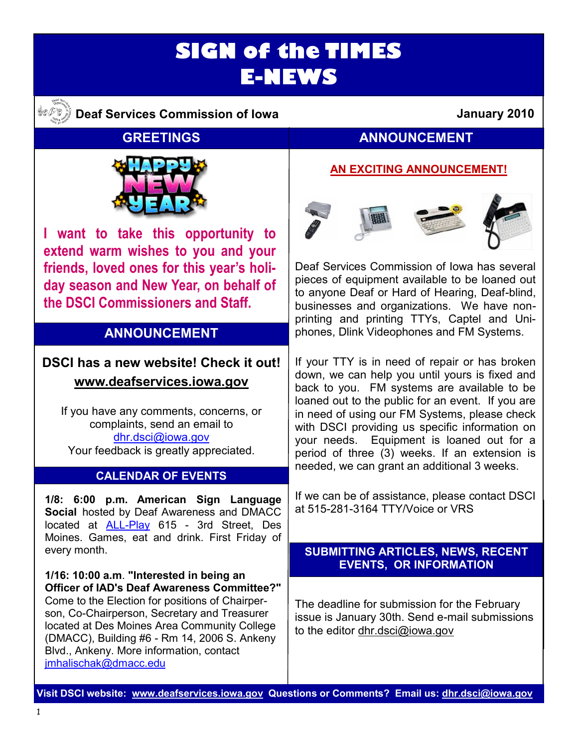# **SIGN of the TIMES E-NEWS**



**Deaf Services Commission of Iowa January 2010** 



 **AN EXCITING ANNOUNCEMENT!** 



Deaf Services Commission of Iowa has several pieces of equipment available to be loaned out to anyone Deaf or Hard of Hearing, Deaf-blind, businesses and organizations. We have nonprinting and printing TTYs, Captel and Uniphones, Dlink Videophones and FM Systems.

If your TTY is in need of repair or has broken down, we can help you until yours is fixed and back to you. FM systems are available to be loaned out to the public for an event. If you are in need of using our FM Systems, please check with DSCI providing us specific information on your needs. Equipment is loaned out for a period of three (3) weeks. If an extension is needed, we can grant an additional 3 weeks.

If we can be of assistance, please contact DSCI at 515-281-3164 TTY/Voice or VRS

## **SUBMITTING ARTICLES, NEWS, RECENT EVENTS, OR INFORMATION**

The deadline for submission for the February issue is January 30th. Send e-mail submissions to the editor dhr.dsci@iowa.gov

**I want to take this opportunity to extend warm wishes to you and your friends, loved ones for this year's holiday season and New Year, on behalf of the DSCI Commissioners and Staff.**

## **ANNOUNCEMENT**

**DSCI has a new website! Check it out! www.deafservices.iowa.gov**

If you have any comments, concerns, or complaints, send an email to [dhr.dsci@iowa.gov](mailto:dhr.dsci@iowa.gov) Your feedback is greatly appreciated.

## **CALENDAR OF EVENTS**

**1/8: 6:00 p.m. American Sign Language Social** hosted by Deaf Awareness and DMACC located at [ALL-Play](http://www.inplaydesmoines.com/) 615 - 3rd Street, Des Moines. Games, eat and drink. First Friday of every month.

**1/16: 10:00 a.m**. **"Interested in being an Officer of IAD's Deaf Awareness Committee?"**  Come to the Election for positions of Chairperson, Co-Chairperson, Secretary and Treasurer located at Des Moines Area Community College (DMACC), Building #6 - Rm 14, 2006 S. Ankeny Blvd., Ankeny. More infor[ma](http://www.state.ia.us/government/dhr/ds/PDF/Calendar/Inplay#2.pdf)tion, contact [jmhalischak@dmacc.edu](mailto:jmhalischak@dmacc.edu)

**Visit DSCI website: www.deafservices.iowa.gov Questions or Comments? Email us: dhr.dsci@iowa.gov**